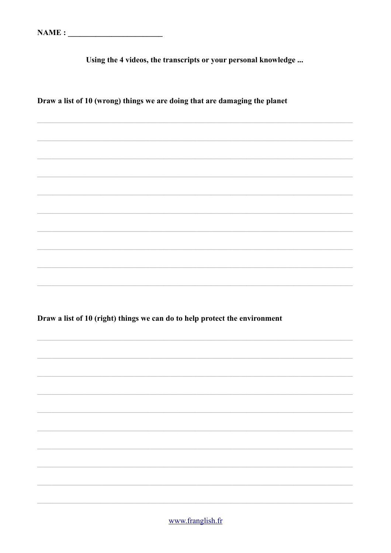Using the 4 videos, the transcripts or your personal knowledge ...

Draw a list of 10 (wrong) things we are doing that are damaging the planet

Draw a list of 10 (right) things we can do to help protect the environment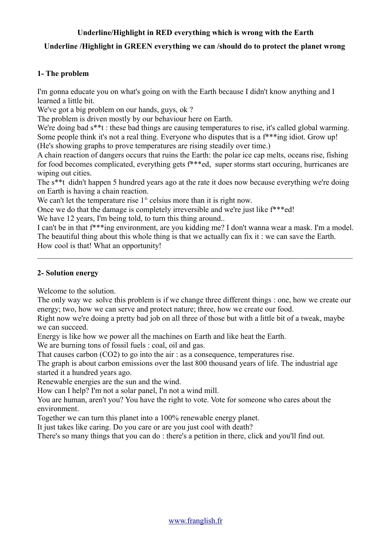# **Underline/Highlight in RED everything which is wrong with the Earth**

# **Underline /Highlight in GREEN everything we can /should do to protect the planet wrong**

## **1- The problem**

I'm gonna educate you on what's going on with the Earth because I didn't know anything and I learned a little bit.

We've got a big problem on our hands, guys, ok?

The problem is driven mostly by our behaviour here on Earth.

We're doing bad  $s^*$ t : these bad things are causing temperatures to rise, it's called global warming. Some people think it's not a real thing. Everyone who disputes that is a f\*\*\*ing idiot. Grow up!

(He's showing graphs to prove temperatures are rising steadily over time.)

A chain reaction of dangers occurs that ruins the Earth: the polar ice cap melts, oceans rise, fishing for food becomes complicated, everything gets f\*\*\*ed, super storms start occuring, hurricanes are wiping out cities.

The s\*\*t didn't happen 5 hundred years ago at the rate it does now because everything we're doing on Earth is having a chain reaction.

We can't let the temperature rise 1<sup>°</sup> celsius more than it is right now.

Once we do that the damage is completely irreversible and we're just like f\*\*\*ed!

We have 12 years, I'm being told, to turn this thing around...

I can't be in that f\*\*\*ing environment, are you kidding me? I don't wanna wear a mask. I'm a model. The beautiful thing about this whole thing is that we actually can fix it : we can save the Earth. How cool is that! What an opportunity!

 $\_$  , and the contribution of the contribution of the contribution of the contribution of  $\mathcal{L}_\text{max}$ 

## **2- Solution energy**

Welcome to the solution.

The only way we solve this problem is if we change three different things : one, how we create our energy; two, how we can serve and protect nature; three, how we create our food.

Right now we're doing a pretty bad job on all three of those but with a little bit of a tweak, maybe we can succeed.

Energy is like how we power all the machines on Earth and like heat the Earth.

We are burning tons of fossil fuels : coal, oil and gas.

That causes carbon (CO2) to go into the air : as a consequence, temperatures rise.

The graph is about carbon emissions over the last 800 thousand years of life. The industrial age started it a hundred years ago.

Renewable energies are the sun and the wind.

How can I help? I'm not a solar panel, I'n not a wind mill.

You are human, aren't you? You have the right to vote. Vote for someone who cares about the environment.

Together we can turn this planet into a 100% renewable energy planet.

It just takes like caring. Do you care or are you just cool with death?

There's so many things that you can do : there's a petition in there, click and you'll find out.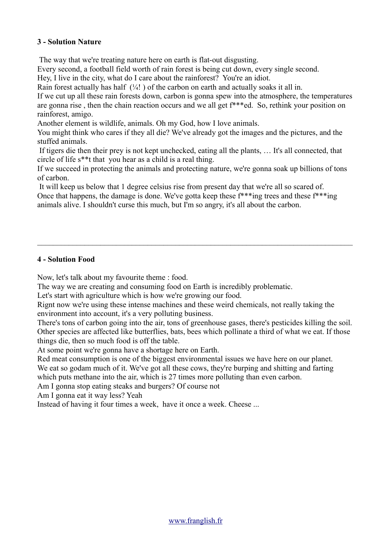## **3 - Solution Nature**

The way that we're treating nature here on earth is flat-out disgusting.

Every second, a football field worth of rain forest is being cut down, every single second.

Hey, I live in the city, what do I care about the rainforest? You're an idiot.

Rain forest actually has half  $(4)$ . (i) of the carbon on earth and actually soaks it all in.

If we cut up all these rain forests down, carbon is gonna spew into the atmosphere, the temperatures are gonna rise , then the chain reaction occurs and we all get f\*\*\*ed. So, rethink your position on rainforest, amigo.

Another element is wildlife, animals. Oh my God, how I love animals.

You might think who cares if they all die? We've already got the images and the pictures, and the stuffed animals.

 If tigers die then their prey is not kept unchecked, eating all the plants, … It's all connected, that circle of life s\*\*t that you hear as a child is a real thing.

If we succeed in protecting the animals and protecting nature, we're gonna soak up billions of tons of carbon.

 $\_$  , and the contribution of the contribution of the contribution of the contribution of  $\mathcal{L}_\text{max}$ 

 It will keep us below that 1 degree celsius rise from present day that we're all so scared of. Once that happens, the damage is done. We've gotta keep these f\*\*\*ing trees and these f\*\*\*ing animals alive. I shouldn't curse this much, but I'm so angry, it's all about the carbon.

#### **4 - Solution Food**

Now, let's talk about my favourite theme : food.

The way we are creating and consuming food on Earth is incredibly problematic.

Let's start with agriculture which is how we're growing our food.

Rignt now we're using these intense machines and these weird chemicals, not really taking the environment into account, it's a very polluting business.

There's tons of carbon going into the air, tons of greenhouse gases, there's pesticides killing the soil. Other species are affected like butterflies, bats, bees which pollinate a third of what we eat. If those things die, then so much food is off the table.

At some point we're gonna have a shortage here on Earth.

Red meat consumption is one of the biggest environmental issues we have here on our planet. We eat so godam much of it. We've got all these cows, they're burping and shitting and farting which puts methane into the air, which is 27 times more polluting than even carbon.

Am I gonna stop eating steaks and burgers? Of course not

Am I gonna eat it way less? Yeah

Instead of having it four times a week, have it once a week. Cheese ...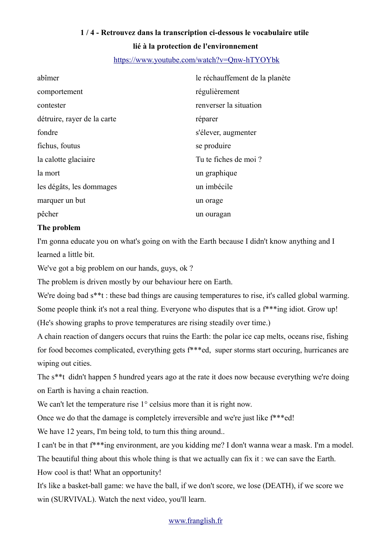### <https://www.youtube.com/watch?v=Qnw-hTYOYbk>

| abîmer                      | le réchauffement de la planète |
|-----------------------------|--------------------------------|
| comportement                | régulièrement                  |
| contester                   | renverser la situation         |
| détruire, rayer de la carte | réparer                        |
| fondre                      | s'élever, augmenter            |
| fichus, foutus              | se produire                    |
| la calotte glaciaire        | Tu te fiches de moi ?          |
| la mort                     | un graphique                   |
| les dégâts, les dommages    | un imbécile                    |
| marquer un but              | un orage                       |
| pêcher                      | un ouragan                     |

## **The problem**

I'm gonna educate you on what's going on with the Earth because I didn't know anything and I learned a little bit.

We've got a big problem on our hands, guys, ok?

The problem is driven mostly by our behaviour here on Earth.

We're doing bad  $s^*$ t : these bad things are causing temperatures to rise, it's called global warming. Some people think it's not a real thing. Everyone who disputes that is a  $f^{**}$ ing idiot. Grow up!

(He's showing graphs to prove temperatures are rising steadily over time.)

A chain reaction of dangers occurs that ruins the Earth: the polar ice cap melts, oceans rise, fishing for food becomes complicated, everything gets f\*\*\*ed, super storms start occuring, hurricanes are wiping out cities.

The s\*\*t didn't happen 5 hundred years ago at the rate it does now because everything we're doing on Earth is having a chain reaction.

We can't let the temperature rise 1<sup>°</sup> celsius more than it is right now.

Once we do that the damage is completely irreversible and we're just like f\*\*\*ed!

We have 12 years, I'm being told, to turn this thing around...

I can't be in that f\*\*\*ing environment, are you kidding me? I don't wanna wear a mask. I'm a model.

The beautiful thing about this whole thing is that we actually can fix it : we can save the Earth.

How cool is that! What an opportunity!

It's like a basket-ball game: we have the ball, if we don't score, we lose (DEATH), if we score we win (SURVIVAL). Watch the next video, you'll learn.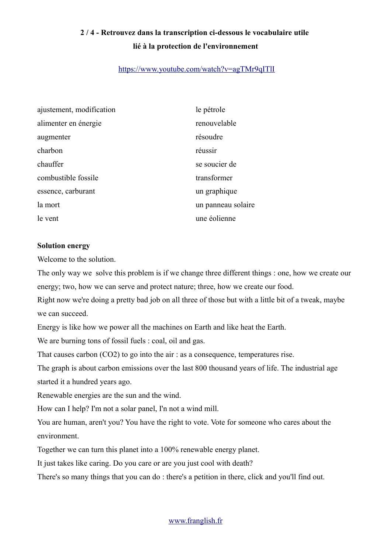## <https://www.youtube.com/watch?v=agTMr9qITlI>

| ajustement, modification | le pétrole         |
|--------------------------|--------------------|
| alimenter en énergie     | renouvelable       |
| augmenter                | résoudre           |
| charbon                  | réussir            |
| chauffer                 | se soucier de      |
| combustible fossile      | transformer        |
| essence, carburant       | un graphique       |
| la mort                  | un panneau solaire |
| le vent                  | une éolienne       |

#### **Solution energy**

Welcome to the solution.

The only way we solve this problem is if we change three different things : one, how we create our energy; two, how we can serve and protect nature; three, how we create our food.

Right now we're doing a pretty bad job on all three of those but with a little bit of a tweak, maybe we can succeed.

Energy is like how we power all the machines on Earth and like heat the Earth.

We are burning tons of fossil fuels : coal, oil and gas.

That causes carbon (CO2) to go into the air : as a consequence, temperatures rise.

The graph is about carbon emissions over the last 800 thousand years of life. The industrial age started it a hundred years ago.

Renewable energies are the sun and the wind.

How can I help? I'm not a solar panel, I'n not a wind mill.

You are human, aren't you? You have the right to vote. Vote for someone who cares about the environment.

Together we can turn this planet into a 100% renewable energy planet.

It just takes like caring. Do you care or are you just cool with death?

There's so many things that you can do : there's a petition in there, click and you'll find out.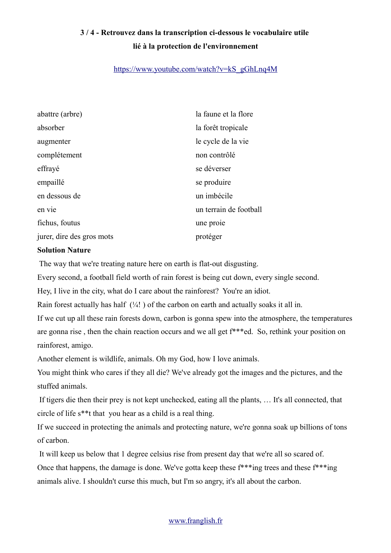## [https://www.youtube.com/watch?v=kS\\_gGhLnq4M](https://www.youtube.com/watch?v=kS_gGhLnq4M)

| abattre (arbre)           | la faune et la flore   |
|---------------------------|------------------------|
| absorber                  | la forêt tropicale     |
| augmenter                 | le cycle de la vie     |
| complétement              | non contrôlé           |
| effrayé                   | se déverser            |
| empaillé                  | se produire            |
| en dessous de             | un imbécile            |
| en vie                    | un terrain de football |
| fichus, foutus            | une proie              |
| jurer, dire des gros mots | protéger               |

#### **Solution Nature**

The way that we're treating nature here on earth is flat-out disgusting.

Every second, a football field worth of rain forest is being cut down, every single second.

Hey, I live in the city, what do I care about the rainforest? You're an idiot.

Rain forest actually has half  $(½!)$  of the carbon on earth and actually soaks it all in.

If we cut up all these rain forests down, carbon is gonna spew into the atmosphere, the temperatures are gonna rise , then the chain reaction occurs and we all get f\*\*\*ed. So, rethink your position on rainforest, amigo.

Another element is wildlife, animals. Oh my God, how I love animals.

You might think who cares if they all die? We've already got the images and the pictures, and the stuffed animals.

 If tigers die then their prey is not kept unchecked, eating all the plants, … It's all connected, that circle of life s\*\*t that you hear as a child is a real thing.

If we succeed in protecting the animals and protecting nature, we're gonna soak up billions of tons of carbon.

It will keep us below that 1 degree celsius rise from present day that we're all so scared of.

Once that happens, the damage is done. We've gotta keep these f\*\*\*ing trees and these f\*\*\*ing animals alive. I shouldn't curse this much, but I'm so angry, it's all about the carbon.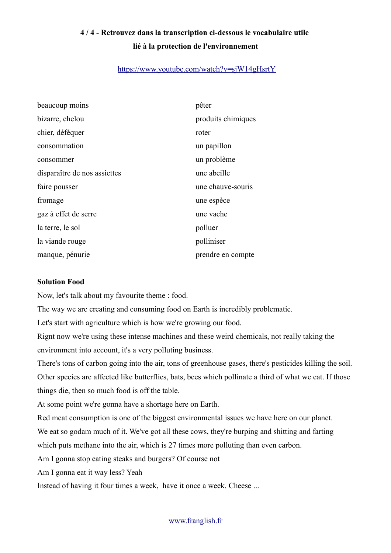## <https://www.youtube.com/watch?v=sjW14gHsrtY>

| beaucoup moins               | pêter              |
|------------------------------|--------------------|
| bizarre, chelou              | produits chimiques |
| chier, déféquer              | roter              |
| consommation                 | un papillon        |
| consommer                    | un problème        |
| disparaître de nos assiettes | une abeille        |
| faire pousser                | une chauve-souris  |
| fromage                      | une espèce         |
| gaz à effet de serre         | une vache          |
| la terre, le sol             | polluer            |
| la viande rouge              | polliniser         |
| manque, pénurie              | prendre en compte  |

#### **Solution Food**

Now, let's talk about my favourite theme : food.

The way we are creating and consuming food on Earth is incredibly problematic.

Let's start with agriculture which is how we're growing our food.

Rignt now we're using these intense machines and these weird chemicals, not really taking the environment into account, it's a very polluting business.

There's tons of carbon going into the air, tons of greenhouse gases, there's pesticides killing the soil. Other species are affected like butterflies, bats, bees which pollinate a third of what we eat. If those things die, then so much food is off the table.

At some point we're gonna have a shortage here on Earth.

Red meat consumption is one of the biggest environmental issues we have here on our planet.

We eat so godam much of it. We've got all these cows, they're burping and shitting and farting

which puts methane into the air, which is 27 times more polluting than even carbon.

Am I gonna stop eating steaks and burgers? Of course not

Am I gonna eat it way less? Yeah

Instead of having it four times a week, have it once a week. Cheese ...